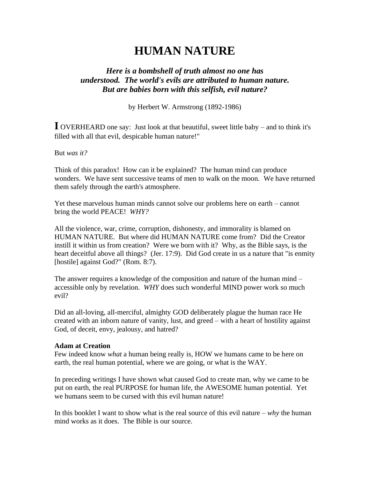# **HUMAN NATURE**

# *Here is a bombshell of truth almost no one has understood. The world's evils are attributed to human nature. But are babies born with this selfish, evil nature?*

by Herbert W. Armstrong (1892-1986)

**I** OVERHEARD one say: Just look at that beautiful, sweet little baby – and to think it's filled with all that evil, despicable human nature!"

But *was it?*

Think of this paradox! How can it be explained? The human mind can produce wonders. We have sent successive teams of men to walk on the moon. We have returned them safely through the earth's atmosphere.

Yet these marvelous human minds cannot solve our problems here on earth – cannot bring the world PEACE! *WHY?*

All the violence, war, crime, corruption, dishonesty, and immorality is blamed on HUMAN NATURE. But where did HUMAN NATURE come from? Did the Creator instill it within us from creation? Were we born with it? Why, as the Bible says, is the heart deceitful above all things? (Jer. 17:9). Did God create in us a nature that "is enmity [hostile] against God?" (Rom. 8:7).

The answer requires a knowledge of the composition and nature of the human mind – accessible only by revelation. *WHY* does such wonderful MIND power work so much evil?

Did an all-loving, all-merciful, almighty GOD deliberately plague the human race He created with an inborn nature of vanity, lust, and greed – with a heart of hostility against God, of deceit, envy, jealousy, and hatred?

## **Adam at Creation**

Few indeed know *what* a human being really is, HOW we humans came to be here on earth, the real human potential, where we are going, or what is the WAY.

In preceding writings I have shown what caused God to create man, why we came to be put on earth, the real PURPOSE for human life, the AWESOME human potential. Yet we humans seem to be cursed with this evil human nature!

In this booklet I want to show what is the real source of this evil nature – *why* the human mind works as it does. The Bible is our source.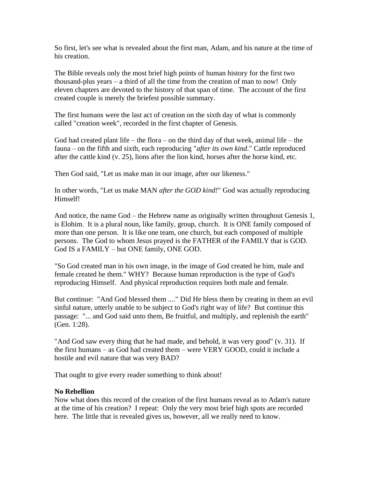So first, let's see what is revealed about the first man, Adam, and his nature at the time of his creation.

The Bible reveals only the most brief high points of human history for the first two thousand-plus years – a third of all the time from the creation of man to now! Only eleven chapters are devoted to the history of that span of time. The account of the first created couple is merely the briefest possible summary.

The first humans were the last act of creation on the sixth day of what is commonly called "creation week", recorded in the first chapter of Genesis.

God had created plant life – the flora – on the third day of that week, animal life – the fauna – on the fifth and sixth, each reproducing "*after its own kind*." Cattle reproduced after the cattle kind (v. 25), lions after the lion kind, horses after the horse kind, etc.

Then God said, "Let us make man in our image, after our likeness."

In other words, "Let us make MAN *after the GOD kind!*" God was actually reproducing Himself!

And notice, the name God – the Hebrew name as originally written throughout Genesis 1, is Elohim. It is a plural noun, like family, group, church. It is ONE family composed of more than one person. It is like one team, one church, but each composed of multiple persons. The God to whom Jesus prayed is the FATHER of the FAMILY that is GOD. God IS a FAMILY – but ONE family, ONE GOD.

"So God created man in his own image, in the image of God created he him, male and female created he them." WHY? Because human reproduction is the type of God's reproducing Himself. And physical reproduction requires both male and female.

But continue: "And God blessed them ...." Did He bless them by creating in them an evil sinful nature, utterly unable to be subject to God's right way of life? But continue this passage: "... and God said unto them, Be fruitful, and multiply, and replenish the earth" (Gen. 1:28).

"And God saw every thing that he had made, and behold, it was very good" (v. 31). If the first humans – as God had created them – were VERY GOOD, could it include a hostile and evil nature that was very BAD?

That ought to give every reader something to think about!

## **No Rebellion**

Now what does this record of the creation of the first humans reveal as to Adam's nature at the time of his creation? I repeat: Only the very most brief high spots are recorded here. The little that is revealed gives us, however, all we really need to know.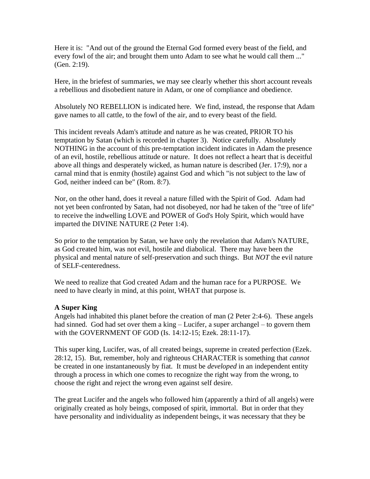Here it is: "And out of the ground the Eternal God formed every beast of the field, and every fowl of the air; and brought them unto Adam to see what he would call them ..." (Gen. 2:19).

Here, in the briefest of summaries, we may see clearly whether this short account reveals a rebellious and disobedient nature in Adam, or one of compliance and obedience.

Absolutely NO REBELLION is indicated here. We find, instead, the response that Adam gave names to all cattle, to the fowl of the air, and to every beast of the field.

This incident reveals Adam's attitude and nature as he was created, PRIOR TO his temptation by Satan (which is recorded in chapter 3). Notice carefully. Absolutely NOTHING in the account of this pre-temptation incident indicates in Adam the presence of an evil, hostile, rebellious attitude or nature. It does not reflect a heart that is deceitful above all things and desperately wicked, as human nature is described (Jer. 17:9), nor a carnal mind that is enmity (hostile) against God and which "is not subject to the law of God, neither indeed can be" (Rom. 8:7).

Nor, on the other hand, does it reveal a nature filled with the Spirit of God. Adam had not yet been confronted by Satan, had not disobeyed, nor had he taken of the "tree of life" to receive the indwelling LOVE and POWER of God's Holy Spirit, which would have imparted the DIVINE NATURE (2 Peter 1:4).

So prior to the temptation by Satan, we have only the revelation that Adam's NATURE, as God created him, was not evil, hostile and diabolical. There may have been the physical and mental nature of self-preservation and such things. But *NOT* the evil nature of SELF-centeredness.

We need to realize that God created Adam and the human race for a PURPOSE. We need to have clearly in mind, at this point, WHAT that purpose is.

## **A Super King**

Angels had inhabited this planet before the creation of man (2 Peter 2:4-6). These angels had sinned. God had set over them a king – Lucifer, a super archangel – to govern them with the GOVERNMENT OF GOD (Is. 14:12-15; Ezek. 28:11-17).

This super king, Lucifer, was, of all created beings, supreme in created perfection (Ezek. 28:12, 15). But, remember, holy and righteous CHARACTER is something that *cannot* be created in one instantaneously by fiat. It must be *developed* in an independent entity through a process in which one comes to recognize the right way from the wrong, to choose the right and reject the wrong even against self desire.

The great Lucifer and the angels who followed him (apparently a third of all angels) were originally created as holy beings, composed of spirit, immortal. But in order that they have personality and individuality as independent beings, it was necessary that they be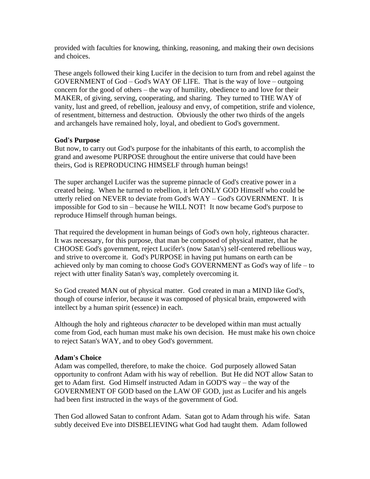provided with faculties for knowing, thinking, reasoning, and making their own decisions and choices.

These angels followed their king Lucifer in the decision to turn from and rebel against the GOVERNMENT of God – God's WAY OF LIFE. That is the way of love – outgoing concern for the good of others – the way of humility, obedience to and love for their MAKER, of giving, serving, cooperating, and sharing. They turned to THE WAY of vanity, lust and greed, of rebellion, jealousy and envy, of competition, strife and violence, of resentment, bitterness and destruction. Obviously the other two thirds of the angels and archangels have remained holy, loyal, and obedient to God's government.

## **God's Purpose**

But now, to carry out God's purpose for the inhabitants of this earth, to accomplish the grand and awesome PURPOSE throughout the entire universe that could have been theirs, God is REPRODUCING HIMSELF through human beings!

The super archangel Lucifer was the supreme pinnacle of God's creative power in a created being. When he turned to rebellion, it left ONLY GOD Himself who could be utterly relied on NEVER to deviate from God's WAY – God's GOVERNMENT. It is impossible for God to sin – because he WILL NOT! It now became God's purpose to reproduce Himself through human beings.

That required the development in human beings of God's own holy, righteous character. It was necessary, for this purpose, that man be composed of physical matter, that he CHOOSE God's government, reject Lucifer's (now Satan's) self-centered rebellious way, and strive to overcome it. God's PURPOSE in having put humans on earth can be achieved only by man coming to choose God's GOVERNMENT as God's way of life – to reject with utter finality Satan's way, completely overcoming it.

So God created MAN out of physical matter. God created in man a MIND like God's, though of course inferior, because it was composed of physical brain, empowered with intellect by a human spirit (essence) in each.

Although the holy and righteous *character* to be developed within man must actually come from God, each human must make his own decision. He must make his own choice to reject Satan's WAY, and to obey God's government.

## **Adam's Choice**

Adam was compelled, therefore, to make the choice. God purposely allowed Satan opportunity to confront Adam with his way of rebellion. But He did NOT allow Satan to get to Adam first. God Himself instructed Adam in GOD'S way – the way of the GOVERNMENT OF GOD based on the LAW OF GOD, just as Lucifer and his angels had been first instructed in the ways of the government of God.

Then God allowed Satan to confront Adam. Satan got to Adam through his wife. Satan subtly deceived Eve into DISBELIEVING what God had taught them. Adam followed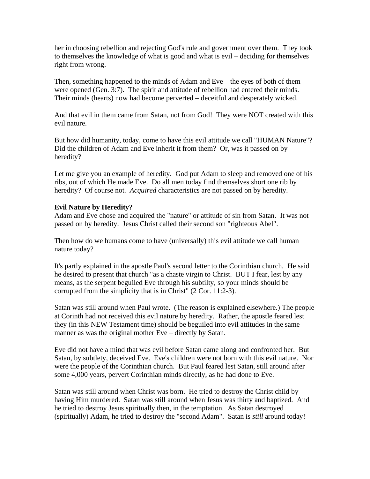her in choosing rebellion and rejecting God's rule and government over them. They took to themselves the knowledge of what is good and what is evil – deciding for themselves right from wrong.

Then, something happened to the minds of Adam and Eve – the eyes of both of them were opened (Gen. 3:7). The spirit and attitude of rebellion had entered their minds. Their minds (hearts) now had become perverted – deceitful and desperately wicked.

And that evil in them came from Satan, not from God! They were NOT created with this evil nature.

But how did humanity, today, come to have this evil attitude we call "HUMAN Nature"? Did the children of Adam and Eve inherit it from them? Or, was it passed on by heredity?

Let me give you an example of heredity. God put Adam to sleep and removed one of his ribs, out of which He made Eve. Do all men today find themselves short one rib by heredity? Of course not. *Acquired* characteristics are not passed on by heredity.

## **Evil Nature by Heredity?**

Adam and Eve chose and acquired the "nature" or attitude of sin from Satan. It was not passed on by heredity. Jesus Christ called their second son "righteous Abel".

Then how do we humans come to have (universally) this evil attitude we call human nature today?

It's partly explained in the apostle Paul's second letter to the Corinthian church. He said he desired to present that church "as a chaste virgin to Christ. BUT I fear, lest by any means, as the serpent beguiled Eve through his subtilty, so your minds should be corrupted from the simplicity that is in Christ" (2 Cor. 11:2-3).

Satan was still around when Paul wrote. (The reason is explained elsewhere.) The people at Corinth had not received this evil nature by heredity. Rather, the apostle feared lest they (in this NEW Testament time) should be beguiled into evil attitudes in the same manner as was the original mother Eve – directly by Satan.

Eve did not have a mind that was evil before Satan came along and confronted her. But Satan, by subtlety, deceived Eve. Eve's children were not born with this evil nature. Nor were the people of the Corinthian church. But Paul feared lest Satan, still around after some 4,000 years, pervert Corinthian minds directly, as he had done to Eve.

Satan was still around when Christ was born. He tried to destroy the Christ child by having Him murdered. Satan was still around when Jesus was thirty and baptized. And he tried to destroy Jesus spiritually then, in the temptation. As Satan destroyed (spiritually) Adam, he tried to destroy the "second Adam". Satan is *still* around today!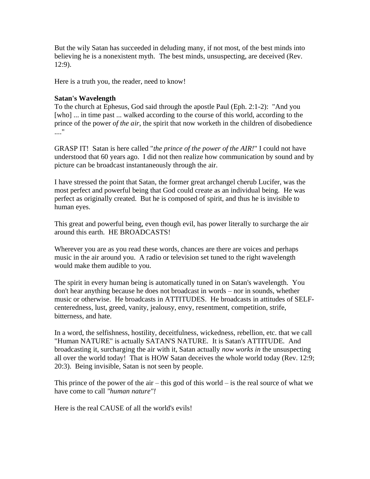But the wily Satan has succeeded in deluding many, if not most, of the best minds into believing he is a nonexistent myth. The best minds, unsuspecting, are deceived (Rev. 12:9).

Here is a truth you, the reader, need to know!

## **Satan's Wavelength**

To the church at Ephesus, God said through the apostle Paul (Eph. 2:1-2): "And you [who] ... in time past ... walked according to the course of this world, according to the prince of the power *of the air*, the spirit that now worketh in the children of disobedience ...."

GRASP IT! Satan is here called "*the prince of the power of the AIR!*" I could not have understood that 60 years ago. I did not then realize how communication by sound and by picture can be broadcast instantaneously through the air.

I have stressed the point that Satan, the former great archangel cherub Lucifer, was the most perfect and powerful being that God could create as an individual being. He was perfect as originally created. But he is composed of spirit, and thus he is invisible to human eyes.

This great and powerful being, even though evil, has power literally to surcharge the air around this earth. HE BROADCASTS!

Wherever you are as you read these words, chances are there are voices and perhaps music in the air around you. A radio or television set tuned to the right wavelength would make them audible to you.

The spirit in every human being is automatically tuned in on Satan's wavelength. You don't hear anything because he does not broadcast in words – nor in sounds, whether music or otherwise. He broadcasts in ATTITUDES. He broadcasts in attitudes of SELFcenteredness, lust, greed, vanity, jealousy, envy, resentment, competition, strife, bitterness, and hate.

In a word, the selfishness, hostility, deceitfulness, wickedness, rebellion, etc. that we call "Human NATURE" is actually SATAN'S NATURE. It is Satan's ATTITUDE. And broadcasting it, surcharging the air with it, Satan actually *now works in* the unsuspecting all over the world today! That is HOW Satan deceives the whole world today (Rev. 12:9; 20:3). Being invisible, Satan is not seen by people.

This prince of the power of the air – this god of this world – is the real source of what we have come to call *"human nature"!*

Here is the real CAUSE of all the world's evils!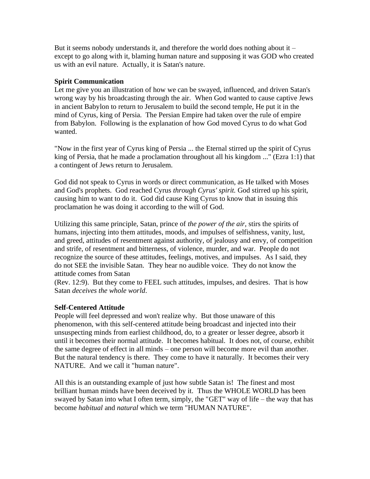But it seems nobody understands it, and therefore the world does nothing about it  $$ except to go along with it, blaming human nature and supposing it was GOD who created us with an evil nature. Actually, it is Satan's nature.

## **Spirit Communication**

Let me give you an illustration of how we can be swayed, influenced, and driven Satan's wrong way by his broadcasting through the air. When God wanted to cause captive Jews in ancient Babylon to return to Jerusalem to build the second temple, He put it in the mind of Cyrus, king of Persia. The Persian Empire had taken over the rule of empire from Babylon. Following is the explanation of how God moved Cyrus to do what God wanted.

"Now in the first year of Cyrus king of Persia ... the Eternal stirred up the spirit of Cyrus king of Persia, that he made a proclamation throughout all his kingdom ..." (Ezra 1:1) that a contingent of Jews return to Jerusalem.

God did not speak to Cyrus in words or direct communication, as He talked with Moses and God's prophets. God reached Cyrus *through Cyrus' spirit.* God stirred up his spirit, causing him to want to do it. God did cause King Cyrus to know that in issuing this proclamation he was doing it according to the will of God.

Utilizing this same principle, Satan, prince of *the power of the air,* stirs the spirits of humans, injecting into them attitudes, moods, and impulses of selfishness, vanity, lust, and greed, attitudes of resentment against authority, of jealousy and envy, of competition and strife, of resentment and bitterness, of violence, murder, and war. People do not recognize the source of these attitudes, feelings, motives, and impulses. As I said, they do not SEE the invisible Satan. They hear no audible voice. They do not know the attitude comes from Satan

(Rev. 12:9). But they come to FEEL such attitudes, impulses, and desires. That is how Satan *deceives the whole world*.

## **Self-Centered Attitude**

People will feel depressed and won't realize why. But those unaware of this phenomenon, with this self-centered attitude being broadcast and injected into their unsuspecting minds from earliest childhood, do, to a greater or lesser degree, absorb it until it becomes their normal attitude. It becomes habitual. It does not, of course, exhibit the same degree of effect in all minds – one person will become more evil than another. But the natural tendency is there. They come to have it naturally. It becomes their very NATURE. And we call it "human nature".

All this is an outstanding example of just how subtle Satan is! The finest and most brilliant human minds have been deceived by it. Thus the WHOLE WORLD has been swayed by Satan into what I often term, simply, the "GET" way of life – the way that has become *habitual* and *natural* which we term "HUMAN NATURE".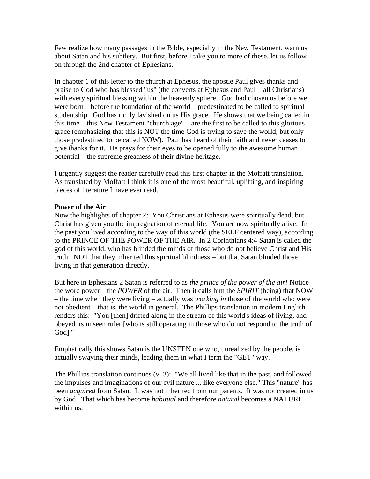Few realize how many passages in the Bible, especially in the New Testament, warn us about Satan and his subtlety. But first, before I take you to more of these, let us follow on through the 2nd chapter of Ephesians.

In chapter 1 of this letter to the church at Ephesus, the apostle Paul gives thanks and praise to God who has blessed "us" (the converts at Ephesus and Paul – all Christians) with every spiritual blessing within the heavenly sphere. God had chosen us before we were born – before the foundation of the world – predestinated to be called to spiritual studentship. God has richly lavished on us His grace. He shows that we being called in this time – this New Testament "church age" – are the first to be called to this glorious grace (emphasizing that this is NOT the time God is trying to save the world, but only those predestined to be called NOW). Paul has heard of their faith and never ceases to give thanks for it. He prays for their eyes to be opened fully to the awesome human potential – the supreme greatness of their divine heritage.

I urgently suggest the reader carefully read this first chapter in the Moffatt translation. As translated by Moffatt I think it is one of the most beautiful, uplifting, and inspiring pieces of literature I have ever read.

## **Power of the Air**

Now the highlights of chapter 2: You Christians at Ephesus were spiritually dead, but Christ has given you the impregnation of eternal life. You are now spiritually alive. In the past you lived according to the way of this world (the SELF centered way), according to the PRINCE OF THE POWER OF THE AIR. In 2 Corinthians 4:4 Satan is called the god of this world, who has blinded the minds of those who do not believe Christ and His truth. NOT that they inherited this spiritual blindness – but that Satan blinded those living in that generation directly.

But here in Ephesians 2 Satan is referred to as *the prince of the power of the air!* Notice the word power – the *POWER* of the air. Then it calls him the *SPIRIT* (being) that NOW – the time when they were living – actually was *working in* those of the world who were not obedient – that is, the world in general. The Phillips translation in modern English renders this: "You [then] drifted along in the stream of this world's ideas of living, and obeyed its unseen ruler [who is still operating in those who do not respond to the truth of God]."

Emphatically this shows Satan is the UNSEEN one who, unrealized by the people, is actually swaying their minds, leading them in what I term the "GET" way.

The Phillips translation continues (v. 3): "We all lived like that in the past, and followed the impulses and imaginations of our evil nature ... like everyone else." This "nature" has been *acquired* from Satan. It was not inherited from our parents. It was not created in us by God. That which has become *habitual* and therefore *natural* becomes a NATURE within us.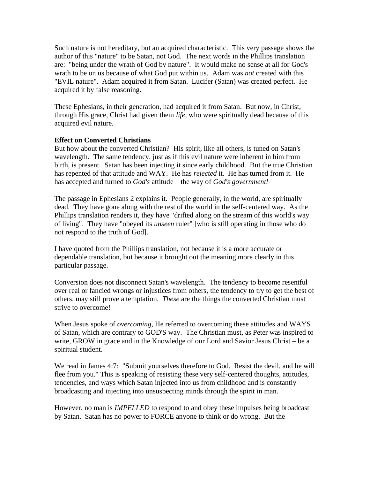Such nature is not hereditary, but an acquired characteristic. This very passage shows the author of this "nature" to be Satan, not God. The next words in the Phillips translation are: "being under the wrath of God by nature". It would make no sense at all for God's wrath to be on us because of what God put within us. Adam was *not* created with this "EVIL nature". Adam acquired it from Satan. Lucifer (Satan) was created perfect. He acquired it by false reasoning.

These Ephesians, in their generation, had acquired it from Satan. But now, in Christ, through His grace, Christ had given them *life,* who were spiritually dead because of this acquired evil nature.

#### **Effect on Converted Christians**

But how about the converted Christian? His spirit, like all others, is tuned on Satan's wavelength. The same tendency, just as if this evil nature were inherent in him from birth, is present. Satan has been injecting it since early childhood. But the true Christian has repented of that attitude and WAY. He has *rejected* it. He has turned from it. He has accepted and turned to *God's* attitude – the way of *God's government!*

The passage in Ephesians 2 explains it. People generally, in the world, are spiritually dead. They have gone along with the rest of the world in the self-centered way. As the Phillips translation renders it, they have "drifted along on the stream of this world's way of living". They have "obeyed its *unseen* ruler" [who is still operating in those who do not respond to the truth of God].

I have quoted from the Phillips translation, not because it is a more accurate or dependable translation, but because it brought out the meaning more clearly in this particular passage.

Conversion does not disconnect Satan's wavelength. The tendency to become resentful over real or fancied wrongs or injustices from others, the tendency to try to get the best of others, may still prove a temptation. *These* are the things the converted Christian must strive to overcome!

When Jesus spoke of *overcoming,* He referred to overcoming these attitudes and WAYS of Satan, which are contrary to GOD'S way. The Christian must, as Peter was inspired to write, GROW in grace and in the Knowledge of our Lord and Savior Jesus Christ – be a spiritual student.

We read in James 4:7: "Submit yourselves therefore to God. Resist the devil, and he will flee from you." This is speaking of resisting these very self-centered thoughts, attitudes, tendencies, and ways which Satan injected into us from childhood and is constantly broadcasting and injecting into unsuspecting minds through the spirit in man.

However, no man is *IMPELLED* to respond to and obey these impulses being broadcast by Satan. Satan has no power to FORCE anyone to think or do wrong. But the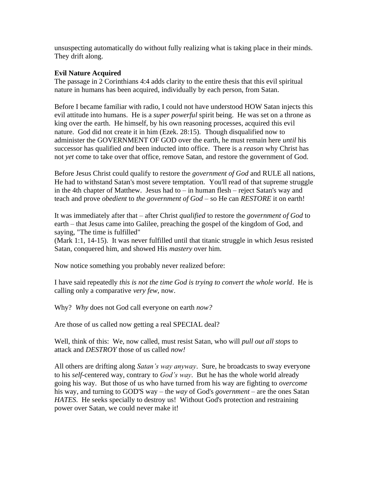unsuspecting automatically do without fully realizing what is taking place in their minds. They drift along.

## **Evil Nature Acquired**

The passage in 2 Corinthians 4:4 adds clarity to the entire thesis that this evil spiritual nature in humans has been acquired, individually by each person, from Satan.

Before I became familiar with radio, I could not have understood HOW Satan injects this evil attitude into humans. He is a *super powerful* spirit being. He was set on a throne as king over the earth. He himself, by his own reasoning processes, acquired this evil nature. God did not create it in him (Ezek. 28:15). Though disqualified now to administer the GOVERNMENT OF GOD over the earth, he must remain here *until* his successor has qualified *and* been inducted into office. There is a *reason* why Christ has not *yet* come to take over that office, remove Satan, and restore the government of God.

Before Jesus Christ could qualify to restore the *government of God* and RULE all nations, He had to withstand Satan's most severe temptation. You'll read of that supreme struggle in the 4th chapter of Matthew. Jesus had to – in human flesh – reject Satan's way and teach and prove *obedient* to *the government of God* – so He can *RESTORE* it on earth!

It was immediately after that – after Christ *qualified* to restore the *government of God* to earth – that Jesus came into Galilee, preaching the gospel of the kingdom of God, and saying, "The time is fulfilled"

(Mark 1:1, 14-15). It was never fulfilled until that titanic struggle in which Jesus resisted Satan, conquered him, and showed His *mastery* over him.

Now notice something you probably never realized before:

I have said repeatedly *this is not the time God is trying to convert the whole world*. He is calling only a comparative *very few,* now.

Why? *Why* does not God call everyone on earth *now?*

Are those of us called now getting a real SPECIAL deal?

Well, think of this: We, now called, must resist Satan, who will *pull out all stops* to attack and *DESTROY* those of us called *now!*

All others are drifting along *Satan's way anyway*. Sure, he broadcasts to sway everyone to his *self*-centered way, contrary to *God's way*. But he has the whole world already going his way. But those of us who have turned from his way are fighting to *overcome* his way, and turning to GOD'S way – the *way* of God's *government* – are the ones Satan *HATES*. He seeks specially to destroy us! Without God's protection and restraining power over Satan, we could never make it!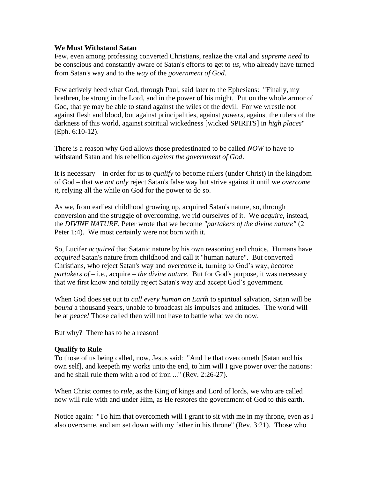## **We Must Withstand Satan**

Few, even among professing converted Christians, realize the vital and *supreme need* to be conscious and constantly aware of Satan's efforts to get to *us,* who already have turned from Satan's way and to the *way* of the *government of God*.

Few actively heed what God, through Paul, said later to the Ephesians: "Finally, my brethren, be strong in the Lord, and in the power of his might. Put on the whole armor of God, that ye may be able to stand against the wiles of the devil. For we wrestle not against flesh and blood, but against principalities, against *powers,* against the rulers of the darkness of this world, against spiritual wickedness [wicked SPIRITS] in *high places*" (Eph. 6:10-12).

There is a reason why God allows those predestinated to be called *NOW* to have to withstand Satan and his rebellion *against the government of God*.

It is necessary – in order for us to *qualify* to become rulers (under Christ) in the kingdom of God – that we *not only* reject Satan's false way but strive against it until we *overcome it,* relying all the while on God for the power to do so.

As we, from earliest childhood growing up, acquired Satan's nature, so, through conversion and the struggle of overcoming, we rid ourselves of it. We *acquire*, instead, the *DIVINE NATURE.* Peter wrote that we become *"partakers of the divine nature"* (2 Peter 1:4). We most certainly were not born with it.

So, Lucifer *acquired* that Satanic nature by his own reasoning and choice. Humans have *acquired* Satan's nature from childhood and call it "human nature". But converted Christians, who reject Satan's way and *overcome* it, turning to God's way, *become partakers of* – i.e., acquire – *the divine nature*. But for God's purpose, it was necessary that we first know and totally reject Satan's way and accept God's government.

When God does set out to *call every human on Earth* to spiritual salvation, Satan will be *bound* a thousand years, unable to broadcast his impulses and attitudes. The world will be at *peace!* Those called then will not have to battle what we do now.

But why? There has to be a reason!

## **Qualify to Rule**

To those of us being called, now, Jesus said: "And he that overcometh [Satan and his own self], and keepeth my works unto the end, to him will I give power over the nations: and he shall rule them with a rod of iron ..." (Rev. 2:26-27).

When Christ comes to *rule,* as the King of kings and Lord of lords, we who are called now will rule with and under Him, as He restores the government of God to this earth.

Notice again: "To him that overcometh will I grant to sit with me in my throne, even as I also overcame, and am set down with my father in his throne" (Rev. 3:21). Those who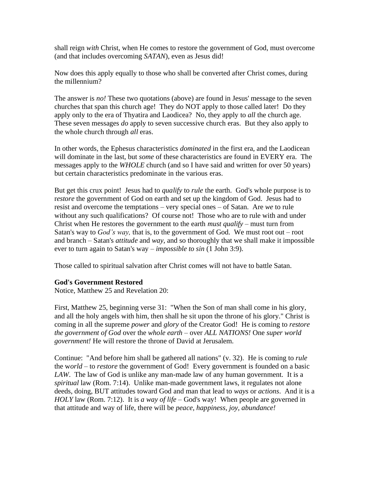shall reign *with* Christ, when He comes to restore the government of God, must overcome (and that includes overcoming *SATAN*), even as Jesus did!

Now does this apply equally to those who shall be converted after Christ comes, during the millennium?

The answer is *no!* These two quotations (above) are found in Jesus' message to the seven churches that span this church age! They do NOT apply to those called later! Do they apply only to the era of Thyatira and Laodicea? No, they apply to *all* the church age. These seven messages *do* apply to seven successive church eras. But they also apply to the whole church through *all* eras.

In other words, the Ephesus characteristics *dominated* in the first era, and the Laodicean will dominate in the last, but *some* of these characteristics are found in EVERY era. The messages apply to the *WHOLE* church (and so I have said and written for over 50 years) but certain characteristics predominate in the various eras.

But get this crux point! Jesus had to *qualify* to *rule* the earth. God's whole purpose is to r*estore* the government of God on earth and set up the kingdom of God. Jesus had to resist and overcome the temptations – very special ones – of Satan. Are *we* to rule without any such qualifications? Of course not! Those who are to rule with and under Christ when He restores the government to the earth *must qualify* – must turn from Satan's way to *God's way,* that is, to the government of God. We must root out – root and branch – Satan's *attitude* and *way,* and so thoroughly that we shall make it impossible ever to turn again to Satan's way – *impossible to sin* (1 John 3:9).

Those called to spiritual salvation after Christ comes will not have to battle Satan.

## **God's Government Restored**

Notice, Matthew 25 and Revelation 20:

First, Matthew 25, beginning verse 31: "When the Son of man shall come in his glory, and all the holy angels with him, then shall he sit upon the throne of his glory." Christ is coming in all the supreme *power* and *glory* of the Creator God! He is coming to *restore the government of God* over the *whole earth* – over *ALL NATIONS!* One *super world government!* He will restore the throne of David at Jerusalem.

Continue: "And before him shall be gathered all nations" (v. 32). He is coming to *rule* the w*orld* – to *restore* the government of God! Every government is founded on a basic *LAW*. The law of God is unlike any man-made law of any human government. It is a *spiritual* law (Rom. 7:14). Unlike man-made government laws, it regulates not alone deeds, doing, BUT attitudes toward God and man that lead to *ways* or *actions*. And it is a *HOLY* law (Rom. 7:12). It is *a way of life* – God's way! When people are governed in that attitude and way of life, there will be *peace, happiness, joy, abundance!*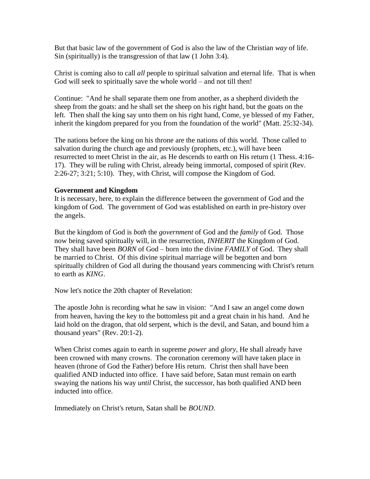But that basic law of the government of God is also the law of the Christian *way* of life. Sin (spiritually) is the transgression of that law (1 John 3:4).

Christ is coming also to call *all* people to spiritual salvation and eternal life. That is when God will seek to spiritually save the whole world – and not till then!

Continue: "And he shall separate them one from another, as a shepherd divideth the sheep from the goats: and he shall set the sheep on his right hand, but the goats on the left. Then shall the king say unto them on his right hand, Come, ye blessed of my Father, inherit the kingdom prepared for you from the foundation of the world" (Matt. 25:32-34).

The nations before the king on his throne are the nations of this world. Those called to salvation during the church age and previously (prophets, etc.), will have been resurrected to meet Christ in the air, as He descends to earth on His return (1 Thess. 4:16- 17). They will be ruling with Christ, already being immortal, composed of spirit (Rev. 2:26-27; 3:21; 5:10). They, with Christ, will compose the Kingdom of God.

## **Government and Kingdom**

It is necessary, here, to explain the difference between the government of God and the kingdom of God. The government of God was established on earth in pre-history over the angels.

But the kingdom of God is *both* the *government* of God and the *family* of God. Those now being saved spiritually will, in the resurrection, *INHERIT* the Kingdom of God. They shall have been *BORN* of God – born into the divine *FAMILY* of God. They shall be married to Christ. Of this divine spiritual marriage will be begotten and born spiritually children of God all during the thousand years commencing with Christ's return to earth as *KING*.

Now let's notice the 20th chapter of Revelation:

The apostle John is recording what he saw in vision: "And I saw an angel come down from heaven, having the key to the bottomless pit and a great chain in his hand. And he laid hold on the dragon, that old serpent, which is the devil, and Satan, and bound him a thousand years" (Rev. 20:1-2).

When Christ comes again to earth in supreme *power* and *glory,* He shall already have been crowned with many crowns. The coronation ceremony will have taken place in heaven (throne of God the Father) before His return. Christ then shall have been qualified AND inducted into office. I have said before, Satan must remain on earth swaying the nations his way *until* Christ, the successor, has both qualified AND been inducted into office.

Immediately on Christ's return, Satan shall be *BOUND*.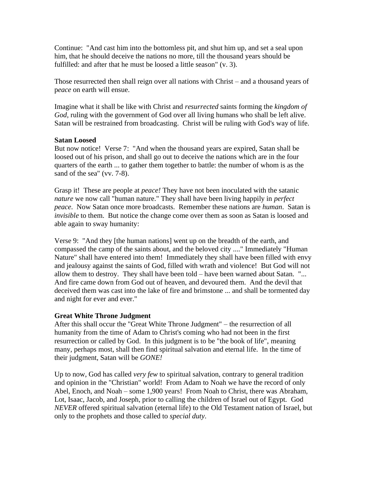Continue: "And cast him into the bottomless pit, and shut him up, and set a seal upon him, that he should deceive the nations no more, till the thousand years should be fulfilled: and after that he must be loosed a little season" (v. 3).

Those resurrected then shall reign over all nations with Christ – and a thousand years of p*eace* on earth will ensue.

Imagine what it shall be like with Christ and *resurrected* saints forming the *kingdom of God,* ruling with the government of God over all living humans who shall be left alive. Satan will be restrained from broadcasting. Christ will be ruling with God's way of life.

## **Satan Loosed**

But now notice! Verse 7: "And when the thousand years are expired, Satan shall be loosed out of his prison, and shall go out to deceive the nations which are in the four quarters of the earth ... to gather them together to battle: the number of whom is as the sand of the sea" (vv. 7-8).

Grasp it! These are people at *peace!* They have not been inoculated with the satanic *nature* we now call "human nature." They shall have been living happily in *perfect peace*. Now Satan once more broadcasts. Remember these nations are *human*. Satan is *invisible* to them. But notice the change come over them as soon as Satan is loosed and able again to sway humanity:

Verse 9: "And they [the human nations] went up on the breadth of the earth, and compassed the camp of the saints about, and the beloved city ...." Immediately "Human Nature" shall have entered into them! Immediately they shall have been filled with envy and jealousy against the saints of God, filled with wrath and violence! But God will not allow them to destroy. They shall have been told – have been warned about Satan. "... And fire came down from God out of heaven, and devoured them. And the devil that deceived them was cast into the lake of fire and brimstone ... and shall be tormented day and night for ever and ever."

## **Great White Throne Judgment**

After this shall occur the "Great White Throne Judgment" – the resurrection of all humanity from the time of Adam to Christ's coming who had not been in the first resurrection or called by God. In this judgment is to be "the book of life", meaning many, perhaps most, shall then find spiritual salvation and eternal life. In the time of their judgment, Satan will be *GONE!*

Up to now, God has called *very few* to spiritual salvation, contrary to general tradition and opinion in the "Christian" world! From Adam to Noah we have the record of only Abel, Enoch, and Noah – some 1,900 years! From Noah to Christ, there was Abraham, Lot, Isaac, Jacob, and Joseph, prior to calling the children of Israel out of Egypt. God *NEVER* offered spiritual salvation (eternal life) to the Old Testament nation of Israel, but only to the prophets and those called to *special duty*.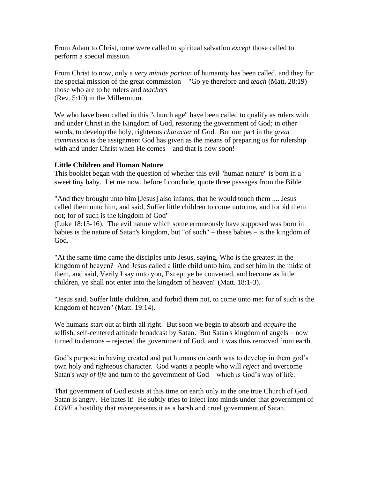From Adam to Christ, none were called to spiritual salvation *except* those called to perform a special mission.

From Christ to now, only a *very minute portion* of humanity has been called, and they for the special mission of the great commission – "Go ye therefore and *teach* (Matt. 28:19) those who are to be rulers and *teachers* (Rev. 5:10) in the Millennium.

We who have been called in this "church age" have been called to qualify as rulers with and under Christ in the Kingdom of God, restoring the government of God; in other words, to develop the holy, righteous *character* of God. But our part in the *great commission* is the assignment God has given as the means of preparing us for rulership with and under Christ when He comes – and that is now soon!

## **Little Children and Human Nature**

This booklet began with the question of whether this evil "human nature" is born in a sweet tiny baby. Let me now, before I conclude, quote three passages from the Bible.

"And they brought unto him [Jesus] also infants, that he would touch them .... Jesus called them unto him, and said, Suffer little children to come unto me, and forbid them not; for of such is the kingdom of God"

(Luke 18:15-16). The evil nature which some erroneously have supposed was born in babies is the nature of Satan's kingdom, but "of such" – these babies – is the kingdom of God.

"At the same time came the disciples unto Jesus, saying, Who is the greatest in the kingdom of heaven? And Jesus called a little child unto him, and set him in the midst of them, and said, Verily I say unto you, Except ye be converted, and become as little children, ye shall not enter into the kingdom of heaven" (Matt. 18:1-3).

"Jesus said, Suffer little children, and forbid them not, to come unto me: for of such is the kingdom of heaven" (Matt. 19:14).

We humans start out at birth all right. But soon we begin to absorb and *acquire* the selfish, self-centered attitude broadcast by Satan. But Satan's kingdom of angels – now turned to demons – rejected the government of God, and it was thus removed from earth.

God's purpose in having created and put humans on earth was to develop in them god's own holy and righteous character. God wants a people who will *reject* and overcome Satan's *way of life* and turn to the government of God – which is God's way of life.

That government of God exists at this time on earth only in the one true Church of God. Satan is angry. He hates it! He subtly tries to inject into minds under that government of *LOVE* a hostility that *mis*represents it as a harsh and cruel government of Satan.